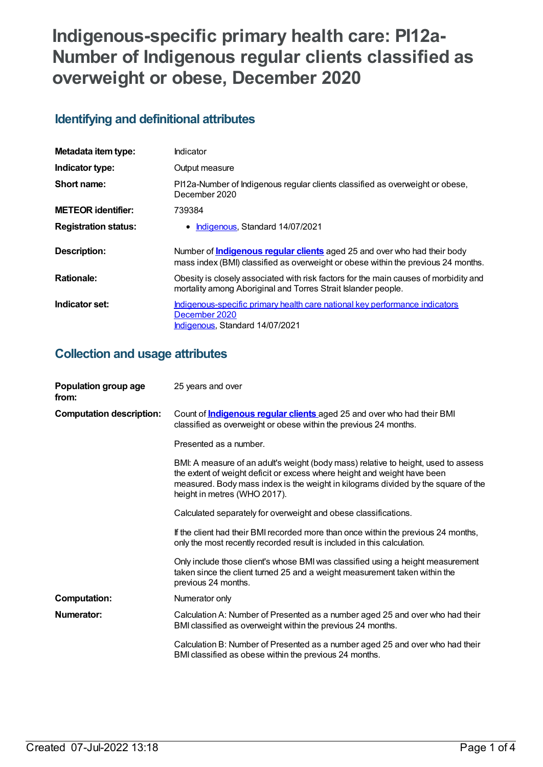# **Indigenous-specific primary health care: PI12a-Number of Indigenous regular clients classified as overweight or obese, December 2020**

## **Identifying and definitional attributes**

| Metadata item type:         | Indicator                                                                                                                                                            |
|-----------------------------|----------------------------------------------------------------------------------------------------------------------------------------------------------------------|
| Indicator type:             | Output measure                                                                                                                                                       |
| Short name:                 | PI12a-Number of Indigenous regular clients classified as overweight or obese,<br>December 2020                                                                       |
| <b>METEOR</b> identifier:   | 739384                                                                                                                                                               |
| <b>Registration status:</b> | Indigenous, Standard 14/07/2021                                                                                                                                      |
| <b>Description:</b>         | Number of <b>Indigenous regular clients</b> aged 25 and over who had their body<br>mass index (BMI) classified as overweight or obese within the previous 24 months. |
| <b>Rationale:</b>           | Obesity is closely associated with risk factors for the main causes of morbidity and<br>mortality among Aboriginal and Torres Strait Islander people.                |
| Indicator set:              | Indigenous-specific primary health care national key performance indicators<br>December 2020<br>Indigenous, Standard 14/07/2021                                      |

### **Collection and usage attributes**

| Population group age<br>from:   | 25 years and over                                                                                                                                                                                                                                                                   |
|---------------------------------|-------------------------------------------------------------------------------------------------------------------------------------------------------------------------------------------------------------------------------------------------------------------------------------|
| <b>Computation description:</b> | Count of <b>Indigenous regular clients</b> aged 25 and over who had their BMI<br>classified as overweight or obese within the previous 24 months.                                                                                                                                   |
|                                 | Presented as a number.                                                                                                                                                                                                                                                              |
|                                 | BMI: A measure of an adult's weight (body mass) relative to height, used to assess<br>the extent of weight deficit or excess where height and weight have been<br>measured. Body mass index is the weight in kilograms divided by the square of the<br>height in metres (WHO 2017). |
|                                 | Calculated separately for overweight and obese classifications.                                                                                                                                                                                                                     |
|                                 | If the client had their BMI recorded more than once within the previous 24 months,<br>only the most recently recorded result is included in this calculation.                                                                                                                       |
|                                 | Only include those client's whose BMI was classified using a height measurement<br>taken since the client turned 25 and a weight measurement taken within the<br>previous 24 months.                                                                                                |
| <b>Computation:</b>             | Numerator only                                                                                                                                                                                                                                                                      |
| Numerator:                      | Calculation A: Number of Presented as a number aged 25 and over who had their<br>BMI classified as overweight within the previous 24 months.                                                                                                                                        |
|                                 | Calculation B: Number of Presented as a number aged 25 and over who had their<br>BMI classified as obese within the previous 24 months.                                                                                                                                             |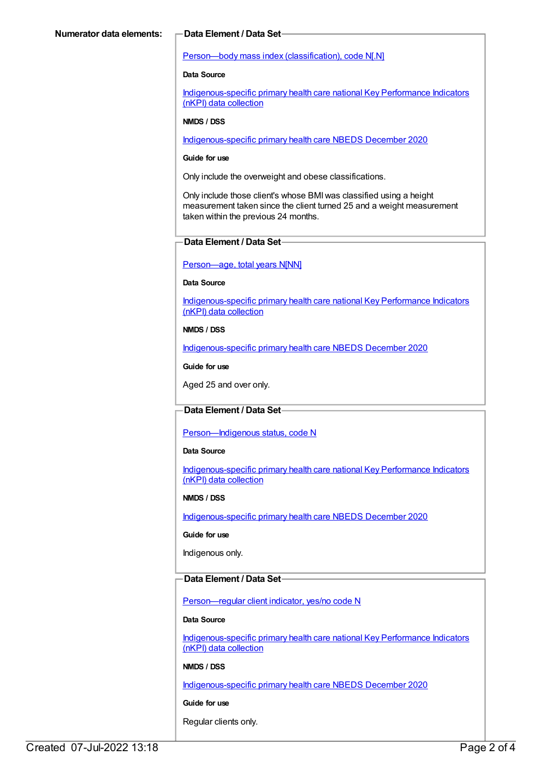#### Person—body mass index [\(classification\),](https://meteor.aihw.gov.au/content/270474) code N[.N]

#### **Data Source**

[Indigenous-specific](https://meteor.aihw.gov.au/content/737914) primary health care national Key Performance Indicators (nKPI) data collection

#### **NMDS / DSS**

[Indigenous-specific](https://meteor.aihw.gov.au/content/738532) primary health care NBEDS December 2020

#### **Guide for use**

Only include the overweight and obese classifications.

Only include those client's whose BMIwas classified using a height measurement taken since the client turned 25 and a weight measurement taken within the previous 24 months.

#### **Data Element / Data Set**

#### [Person—age,](https://meteor.aihw.gov.au/content/303794) total years N[NN]

#### **Data Source**

[Indigenous-specific](https://meteor.aihw.gov.au/content/737914) primary health care national Key Performance Indicators (nKPI) data collection

#### **NMDS / DSS**

[Indigenous-specific](https://meteor.aihw.gov.au/content/738532) primary health care NBEDS December 2020

**Guide for use**

Aged 25 and over only.

#### **Data Element / Data Set**

[Person—Indigenous](https://meteor.aihw.gov.au/content/602543) status, code N

#### **Data Source**

[Indigenous-specific](https://meteor.aihw.gov.au/content/737914) primary health care national Key Performance Indicators (nKPI) data collection

#### **NMDS / DSS**

[Indigenous-specific](https://meteor.aihw.gov.au/content/738532) primary health care NBEDS December 2020

#### **Guide for use**

Indigenous only.

### **Data Element / Data Set**

[Person—regular](https://meteor.aihw.gov.au/content/686291) client indicator, yes/no code N

#### **Data Source**

[Indigenous-specific](https://meteor.aihw.gov.au/content/737914) primary health care national Key Performance Indicators (nKPI) data collection

#### **NMDS / DSS**

[Indigenous-specific](https://meteor.aihw.gov.au/content/738532) primary health care NBEDS December 2020

### **Guide for use**

Regular clients only.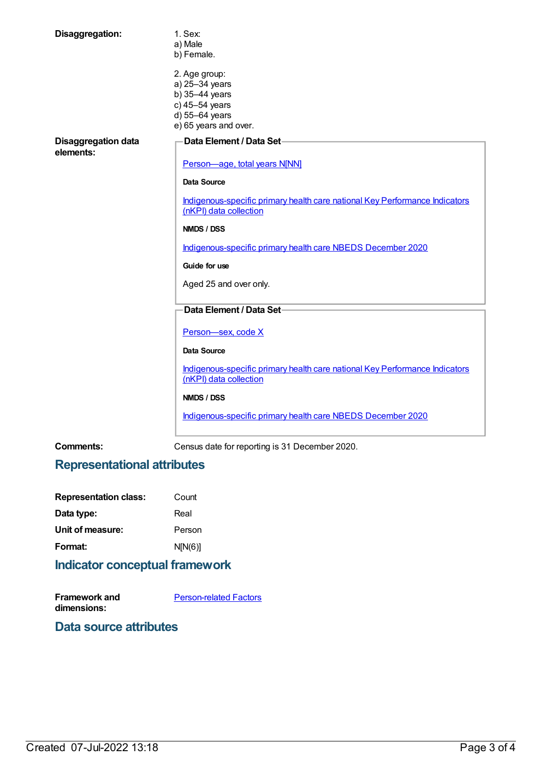| Disaggregation:                  | 1. Sex:<br>a) Male<br>b) Female.                                                                      |
|----------------------------------|-------------------------------------------------------------------------------------------------------|
|                                  | 2. Age group:<br>a) 25-34 years<br>b) 35-44 years<br>c) 45-54 years                                   |
|                                  | d) 55-64 years<br>e) 65 years and over.                                                               |
| Disaggregation data<br>elements: | <b>Data Element / Data Set-</b>                                                                       |
|                                  | Person-age, total years N[NN]                                                                         |
|                                  | Data Source                                                                                           |
|                                  | Indigenous-specific primary health care national Key Performance Indicators<br>(nKPI) data collection |
|                                  | NMDS / DSS                                                                                            |
|                                  | Indigenous-specific primary health care NBEDS December 2020                                           |
|                                  | Guide for use                                                                                         |
|                                  | Aged 25 and over only.                                                                                |
|                                  | Data Element / Data Set-                                                                              |
|                                  | Person-sex, code X                                                                                    |
|                                  | <b>Data Source</b>                                                                                    |
|                                  | Indigenous-specific primary health care national Key Performance Indicators<br>(nKPI) data collection |
|                                  | NMDS / DSS                                                                                            |
|                                  | Indigenous-specific primary health care NBEDS December 2020                                           |

**Comments:** Census date for reporting is 31 December 2020.

### **Representational attributes**

| <b>Representation class:</b> | Count   |
|------------------------------|---------|
| Data type:                   | Real    |
| Unit of measure:             | Person  |
| Format:                      | N[N(6)] |
|                              |         |

### **Indicator conceptual framework**

**Framework and dimensions:** [Person-related](https://meteor.aihw.gov.au/content/410678) Factors

### **Data source attributes**